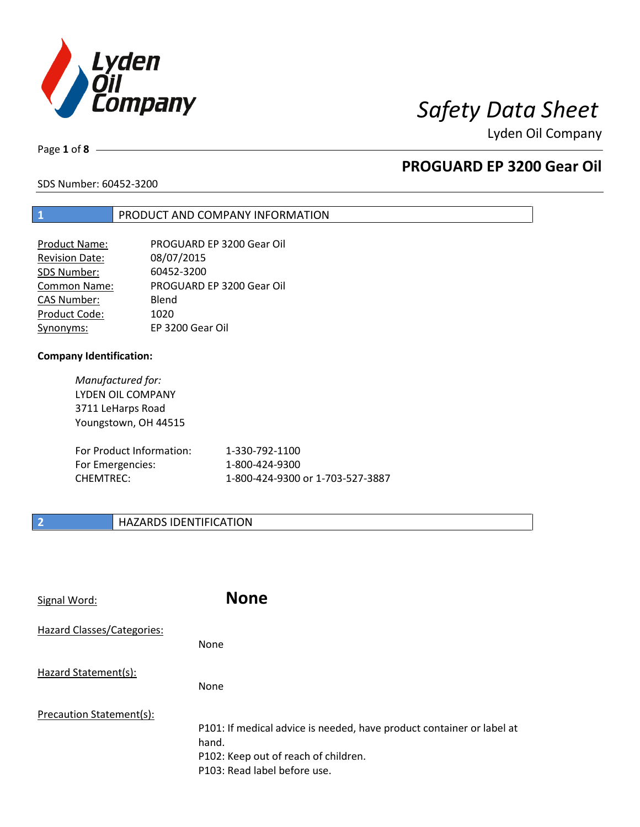

# *Safety Data Sheet*

Lyden Oil Company

Page **1** of **8**

## **PROGUARD EP 3200 Gear Oil**

SDS Number: 60452-3200

### **1** PRODUCT AND COMPANY INFORMATION

| <b>Product Name:</b>  | PROGUARD EP 3200 Gear Oil |
|-----------------------|---------------------------|
| <b>Revision Date:</b> | 08/07/2015                |
| SDS Number:           | 60452-3200                |
| <b>Common Name:</b>   | PROGUARD EP 3200 Gear Oil |
| <b>CAS Number:</b>    | Blend                     |
| Product Code:         | 1020                      |
| Synonyms:             | EP 3200 Gear Oil          |

### **Company Identification:**

*Manufactured for:*  LYDEN OIL COMPANY 3711 LeHarps Road Youngstown, OH 44515

| For Product Information: | 1-330-792-1100                   |
|--------------------------|----------------------------------|
| For Emergencies:         | 1-800-424-9300                   |
| CHEMTREC:                | 1-800-424-9300 or 1-703-527-3887 |

### **2 HAZARDS IDENTIFICATION**

| Signal Word:               | <b>None</b>                                                                                                                                            |
|----------------------------|--------------------------------------------------------------------------------------------------------------------------------------------------------|
| Hazard Classes/Categories: | <b>None</b>                                                                                                                                            |
| Hazard Statement(s):       | <b>None</b>                                                                                                                                            |
| Precaution Statement(s):   | P101: If medical advice is needed, have product container or label at<br>hand.<br>P102: Keep out of reach of children.<br>P103: Read label before use. |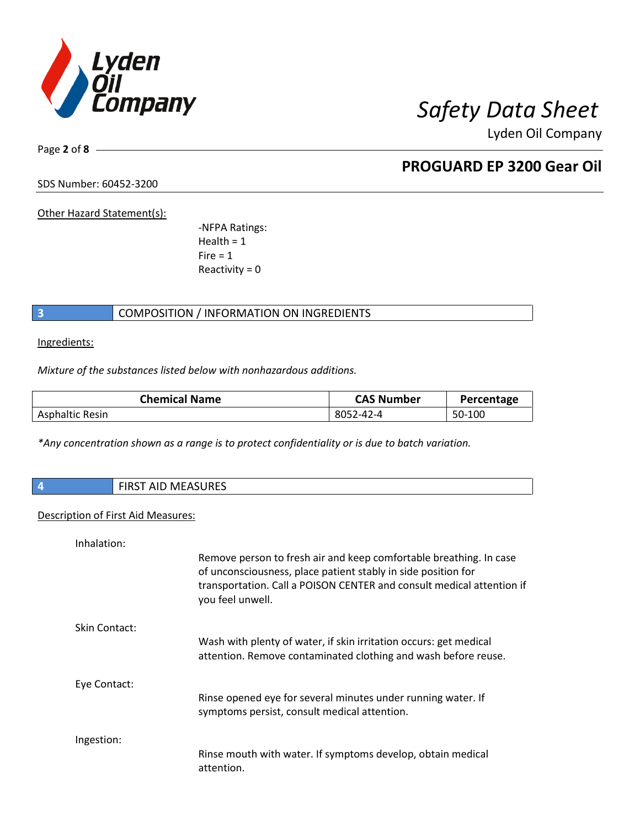

Page **2** of **8**

## **PROGUARD EP 3200 Gear Oil**

SDS Number: 60452-3200

Other Hazard Statement(s):

-NFPA Ratings:  $Health = 1$  $Fire = 1$ Reactivity  $= 0$ 

### **3** COMPOSITION / INFORMATION ON INGREDIENTS

Ingredients:

*Mixture of the substances listed below with nonhazardous additions.*

| <b>Chemical Name</b>   | <b>CAS Number</b> | Percentage |
|------------------------|-------------------|------------|
| <b>Asphaltic Resin</b> | 8052-42-4         | 50-100     |

*\*Any concentration shown as a range is to protect confidentiality or is due to batch variation.*

| <b>FIRST AID MEASURES</b>                 |
|-------------------------------------------|
|                                           |
| <b>Industry of Fig. At LAA and States</b> |

### Description of First Aid Measures:

| Remove person to fresh air and keep comfortable breathing. In case<br>of unconsciousness, place patient stably in side position for<br>transportation. Call a POISON CENTER and consult medical attention if<br>you feel unwell. |
|----------------------------------------------------------------------------------------------------------------------------------------------------------------------------------------------------------------------------------|
|                                                                                                                                                                                                                                  |
| Wash with plenty of water, if skin irritation occurs: get medical<br>attention. Remove contaminated clothing and wash before reuse.                                                                                              |
|                                                                                                                                                                                                                                  |
| Rinse opened eye for several minutes under running water. If<br>symptoms persist, consult medical attention.                                                                                                                     |
|                                                                                                                                                                                                                                  |
| Rinse mouth with water. If symptoms develop, obtain medical<br>attention.                                                                                                                                                        |
|                                                                                                                                                                                                                                  |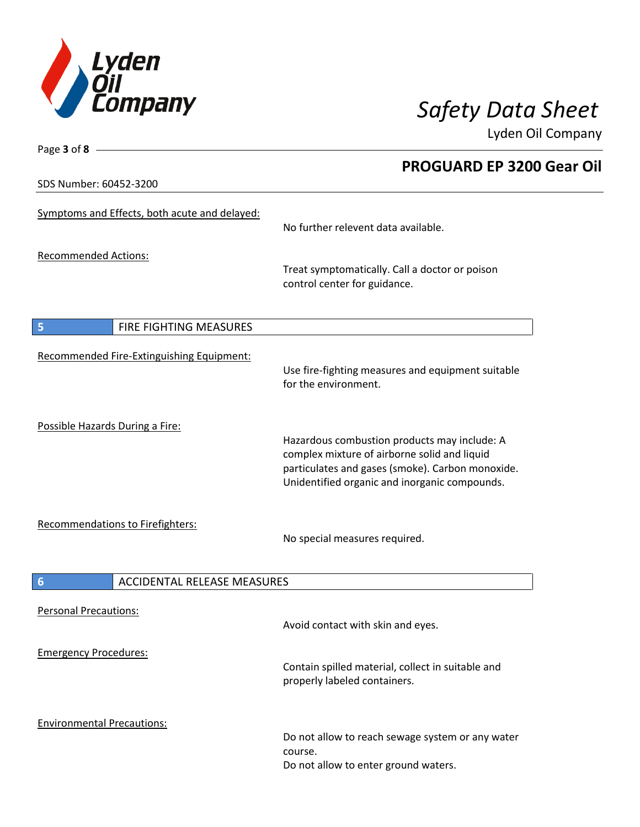

**PROGUARD EP 3200 Gear Oil**

Lyden Oil Company

SDS Number: 60452-3200

Page **3** of **8**

| Symptoms and Effects, both acute and delayed: | No further relevent data available.                                                                                                                                                               |
|-----------------------------------------------|---------------------------------------------------------------------------------------------------------------------------------------------------------------------------------------------------|
| <b>Recommended Actions:</b>                   | Treat symptomatically. Call a doctor or poison<br>control center for guidance.                                                                                                                    |
| 5<br>FIRE FIGHTING MEASURES                   |                                                                                                                                                                                                   |
| Recommended Fire-Extinguishing Equipment:     | Use fire-fighting measures and equipment suitable<br>for the environment.                                                                                                                         |
| Possible Hazards During a Fire:               | Hazardous combustion products may include: A<br>complex mixture of airborne solid and liquid<br>particulates and gases (smoke). Carbon monoxide.<br>Unidentified organic and inorganic compounds. |
| Recommendations to Firefighters:              | No special measures required.                                                                                                                                                                     |
| <b>ACCIDENTAL RELEASE MEASURES</b><br>6       |                                                                                                                                                                                                   |
| <b>Personal Precautions:</b>                  | Avoid contact with skin and eyes.                                                                                                                                                                 |
| <b>Emergency Procedures:</b>                  | Contain spilled material, collect in suitable and<br>properly labeled containers.                                                                                                                 |
| <b>Environmental Precautions:</b>             | Do not allow to reach sewage system or any water<br>course.<br>Do not allow to enter ground waters.                                                                                               |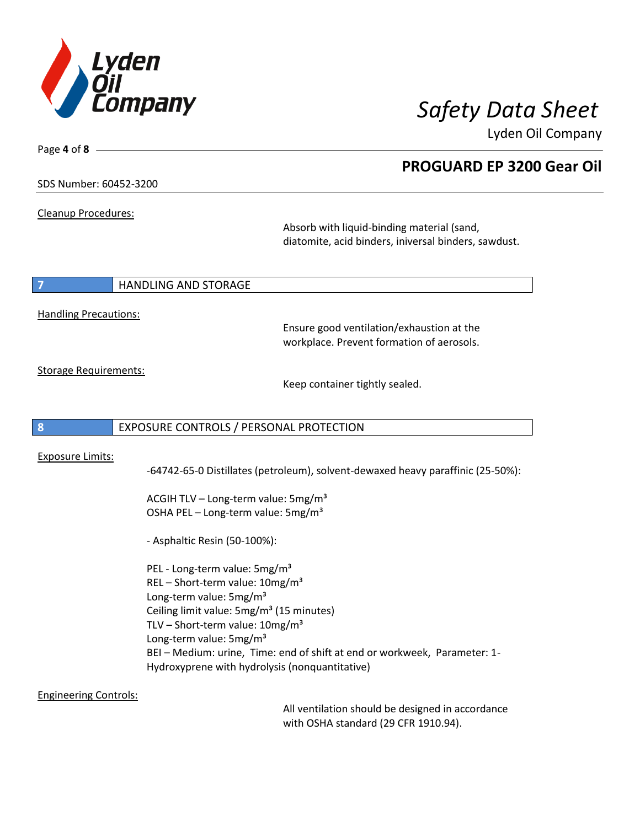

**PROGUARD EP 3200 Gear Oil**

Lyden Oil Company

SDS Number: 60452-3200

Cleanup Procedures:

Page **4** of **8**

Absorb with liquid-binding material (sand, diatomite, acid binders, iniversal binders, sawdust.

### **7 HANDLING AND STORAGE**

Handling Precautions:

Ensure good ventilation/exhaustion at the workplace. Prevent formation of aerosols.

Storage Requirements:

Keep container tightly sealed.

### **8** EXPOSURE CONTROLS / PERSONAL PROTECTION

### Exposure Limits:

-64742-65-0 Distillates (petroleum), solvent-dewaxed heavy paraffinic (25-50%):

ACGIH TLV – Long-term value:  $5mg/m<sup>3</sup>$ OSHA PEL - Long-term value: 5mg/m<sup>3</sup>

- Asphaltic Resin (50-100%):

PEL - Long-term value: 5mg/m<sup>3</sup> REL – Short-term value:  $10mg/m^3$ Long-term value: 5mg/m<sup>3</sup> Ceiling limit value: 5mg/m<sup>3</sup> (15 minutes) TLV – Short-term value:  $10$ mg/m<sup>3</sup> Long-term value: 5mg/m<sup>3</sup> BEI – Medium: urine, Time: end of shift at end or workweek, Parameter: 1- Hydroxyprene with hydrolysis (nonquantitative)

Engineering Controls:

All ventilation should be designed in accordance with OSHA standard (29 CFR 1910.94).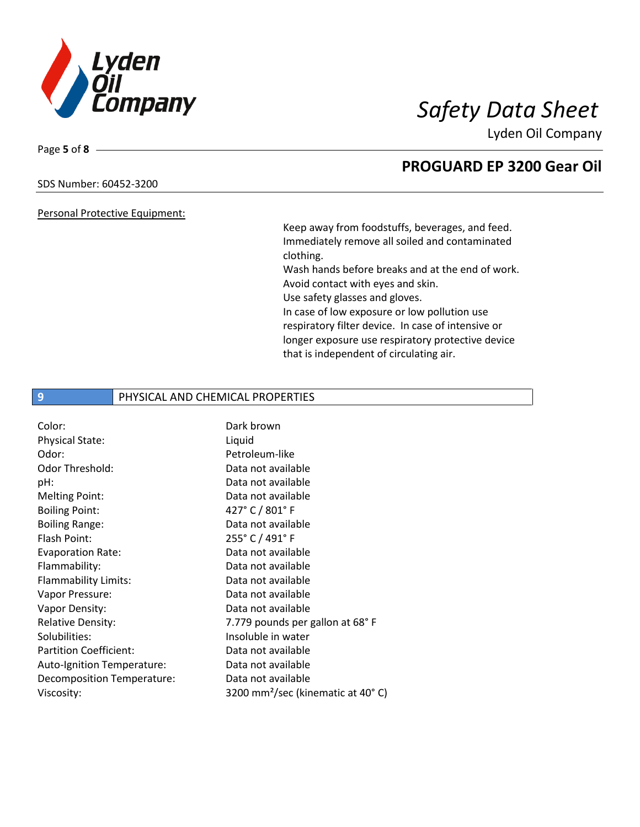

### SDS Number: 60452-3200

Page **5** of **8**

### Personal Protective Equipment:

Keep away from foodstuffs, beverages, and feed. Immediately remove all soiled and contaminated clothing. Wash hands before breaks and at the end of work.

Avoid contact with eyes and skin.

Use safety glasses and gloves.

In case of low exposure or low pollution use respiratory filter device. In case of intensive or longer exposure use respiratory protective device that is independent of circulating air.

### **9** PHYSICAL AND CHEMICAL PROPERTIES

| Dark brown                                    |
|-----------------------------------------------|
| Liquid                                        |
| Petroleum-like                                |
| Data not available                            |
| Data not available                            |
| Data not available                            |
| 427° C / 801° F                               |
| Data not available                            |
| 255° C / 491° F                               |
| Data not available                            |
| Data not available                            |
| Data not available                            |
| Data not available                            |
| Data not available                            |
| 7.779 pounds per gallon at 68°F               |
| Insoluble in water                            |
| Data not available                            |
| Data not available                            |
| Data not available                            |
| 3200 mm <sup>2</sup> /sec (kinematic at 40°C) |
|                                               |

## **PROGUARD EP 3200 Gear Oil**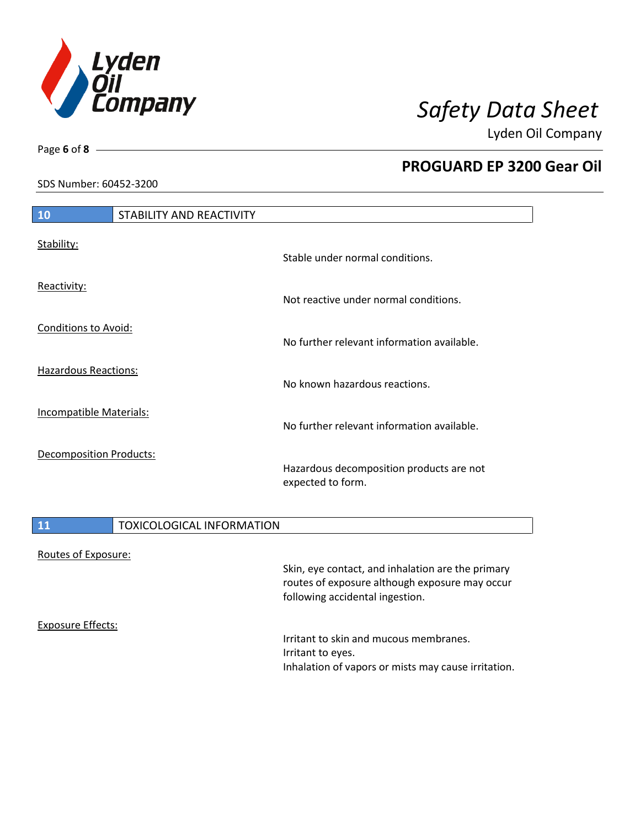

**PROGUARD EP 3200 Gear Oil**

Lyden Oil Company

SDS Number: 60452-3200

Page **6** of **8**

| 10                             | STABILITY AND REACTIVITY |                                                               |
|--------------------------------|--------------------------|---------------------------------------------------------------|
| Stability:                     |                          | Stable under normal conditions.                               |
| Reactivity:                    |                          | Not reactive under normal conditions.                         |
| <b>Conditions to Avoid:</b>    |                          | No further relevant information available.                    |
| <b>Hazardous Reactions:</b>    |                          | No known hazardous reactions.                                 |
| Incompatible Materials:        |                          | No further relevant information available.                    |
| <b>Decomposition Products:</b> |                          | Hazardous decomposition products are not<br>expected to form. |

## 11 **TOXICOLOGICAL INFORMATION** Routes of Exposure: Skin, eye contact, and inhalation are the primary routes of exposure although exposure may occur

Exposure Effects:

Irritant to skin and mucous membranes. Irritant to eyes. Inhalation of vapors or mists may cause irritation.

following accidental ingestion.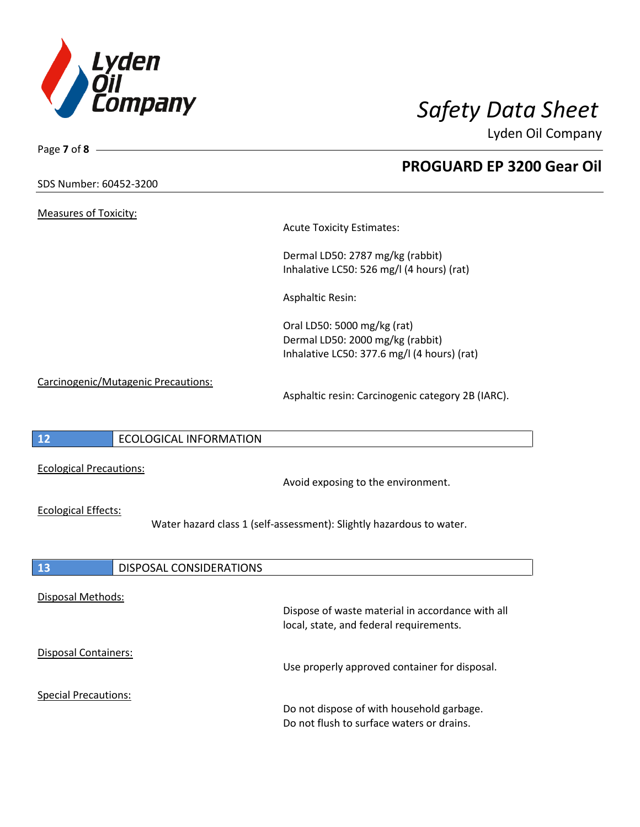

| Page 7 of 8 $\_\_\_\_\$             |                               |                                                                                                                |  |
|-------------------------------------|-------------------------------|----------------------------------------------------------------------------------------------------------------|--|
| SDS Number: 60452-3200              |                               | <b>PROGUARD EP 3200 Gear Oil</b>                                                                               |  |
| <b>Measures of Toxicity:</b>        |                               |                                                                                                                |  |
|                                     |                               | <b>Acute Toxicity Estimates:</b>                                                                               |  |
|                                     |                               | Dermal LD50: 2787 mg/kg (rabbit)<br>Inhalative LC50: 526 mg/l (4 hours) (rat)                                  |  |
|                                     |                               | <b>Asphaltic Resin:</b>                                                                                        |  |
|                                     |                               | Oral LD50: 5000 mg/kg (rat)<br>Dermal LD50: 2000 mg/kg (rabbit)<br>Inhalative LC50: 377.6 mg/l (4 hours) (rat) |  |
| Carcinogenic/Mutagenic Precautions: |                               | Asphaltic resin: Carcinogenic category 2B (IARC).                                                              |  |
| 12                                  | <b>ECOLOGICAL INFORMATION</b> |                                                                                                                |  |
| <b>Ecological Precautions:</b>      |                               | Avoid exposing to the environment.                                                                             |  |
| <b>Ecological Effects:</b>          |                               | Water hazard class 1 (self-assessment): Slightly hazardous to water.                                           |  |
| <b>13</b>                           | DISPOSAL CONSIDERATIONS       |                                                                                                                |  |
| Disposal Methods:                   |                               | Dispose of waste material in accordance with all<br>local, state, and federal requirements.                    |  |
| <b>Disposal Containers:</b>         |                               | Use properly approved container for disposal.                                                                  |  |
| <b>Special Precautions:</b>         |                               | Do not dispose of with household garbage.<br>Do not flush to surface waters or drains.                         |  |